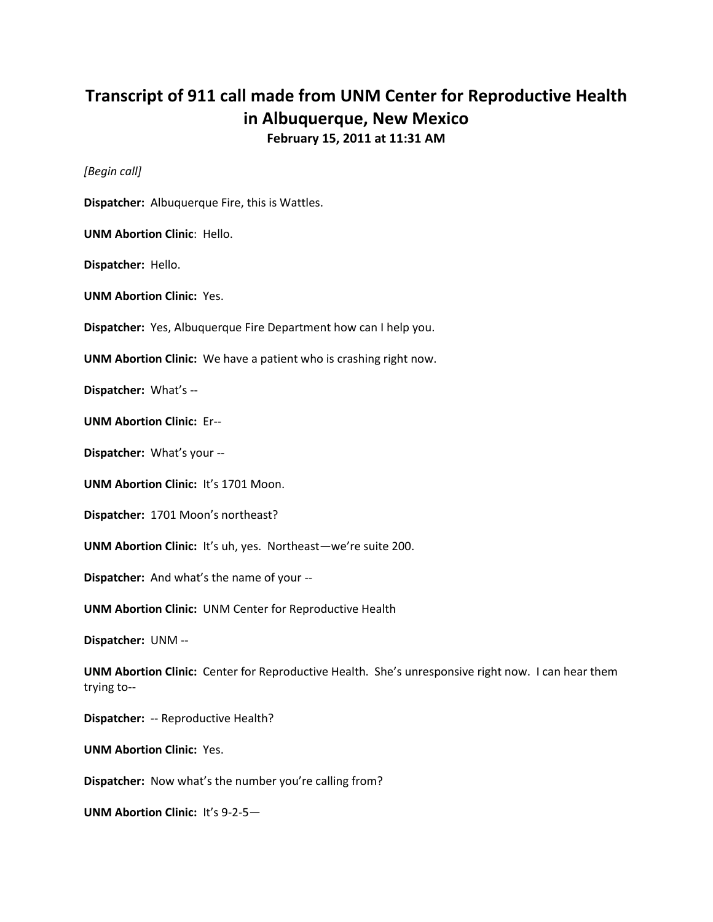## **Transcript of 911 call made from UNM Center for Reproductive Health in Albuquerque, New Mexico February 15, 2011 at 11:31 AM**

*[Begin call]*

**Dispatcher:** Albuquerque Fire, this is Wattles.

**UNM Abortion Clinic**: Hello.

**Dispatcher:** Hello.

**UNM Abortion Clinic:** Yes.

**Dispatcher:** Yes, Albuquerque Fire Department how can I help you.

**UNM Abortion Clinic:** We have a patient who is crashing right now.

**Dispatcher:** What's --

**UNM Abortion Clinic:** Er--

**Dispatcher:** What's your --

**UNM Abortion Clinic:** It's 1701 Moon.

**Dispatcher:** 1701 Moon's northeast?

**UNM Abortion Clinic:** It's uh, yes. Northeast—we're suite 200.

**Dispatcher:** And what's the name of your --

**UNM Abortion Clinic:** UNM Center for Reproductive Health

**Dispatcher:** UNM --

**UNM Abortion Clinic:** Center for Reproductive Health. She's unresponsive right now. I can hear them trying to--

**Dispatcher:** -- Reproductive Health?

**UNM Abortion Clinic:** Yes.

**Dispatcher:** Now what's the number you're calling from?

**UNM Abortion Clinic:** It's 9-2-5—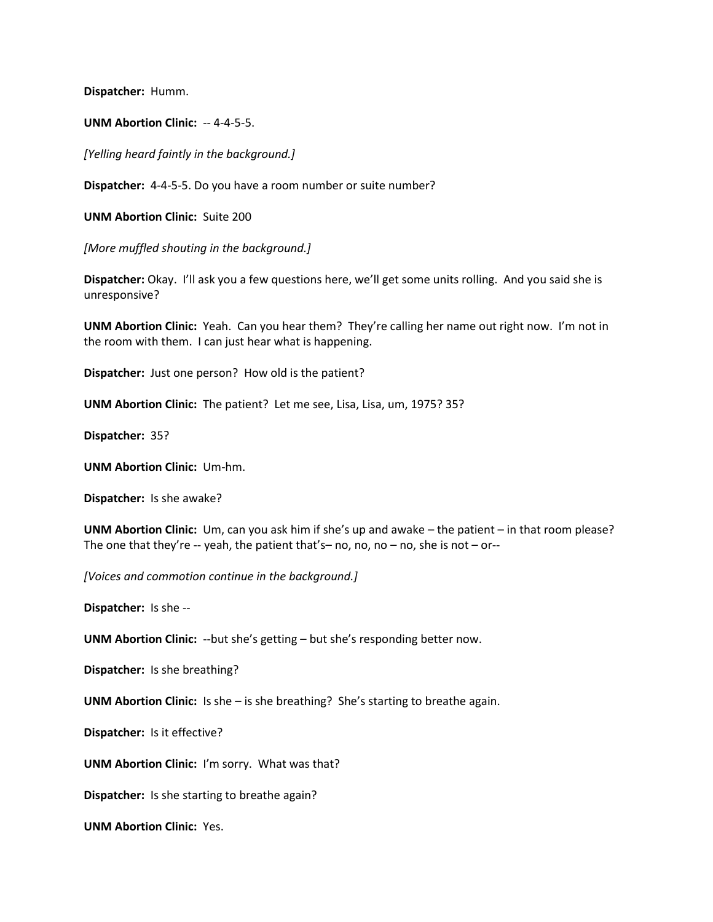**Dispatcher:** Humm.

**UNM Abortion Clinic:** -- 4-4-5-5.

*[Yelling heard faintly in the background.]*

**Dispatcher:** 4-4-5-5. Do you have a room number or suite number?

**UNM Abortion Clinic:** Suite 200

*[More muffled shouting in the background.]*

**Dispatcher:** Okay. I'll ask you a few questions here, we'll get some units rolling. And you said she is unresponsive?

**UNM Abortion Clinic:** Yeah. Can you hear them? They're calling her name out right now. I'm not in the room with them. I can just hear what is happening.

**Dispatcher:** Just one person? How old is the patient?

**UNM Abortion Clinic:** The patient? Let me see, Lisa, Lisa, um, 1975? 35?

**Dispatcher:** 35?

**UNM Abortion Clinic:** Um-hm.

**Dispatcher:** Is she awake?

**UNM Abortion Clinic:** Um, can you ask him if she's up and awake – the patient – in that room please? The one that they're -- yeah, the patient that's-no, no, no - no, she is not - or--

*[Voices and commotion continue in the background.]*

**Dispatcher:** Is she --

**UNM Abortion Clinic:** --but she's getting – but she's responding better now.

**Dispatcher:** Is she breathing?

**UNM Abortion Clinic:** Is she – is she breathing? She's starting to breathe again.

**Dispatcher:** Is it effective?

**UNM Abortion Clinic:** I'm sorry. What was that?

**Dispatcher:** Is she starting to breathe again?

**UNM Abortion Clinic:** Yes.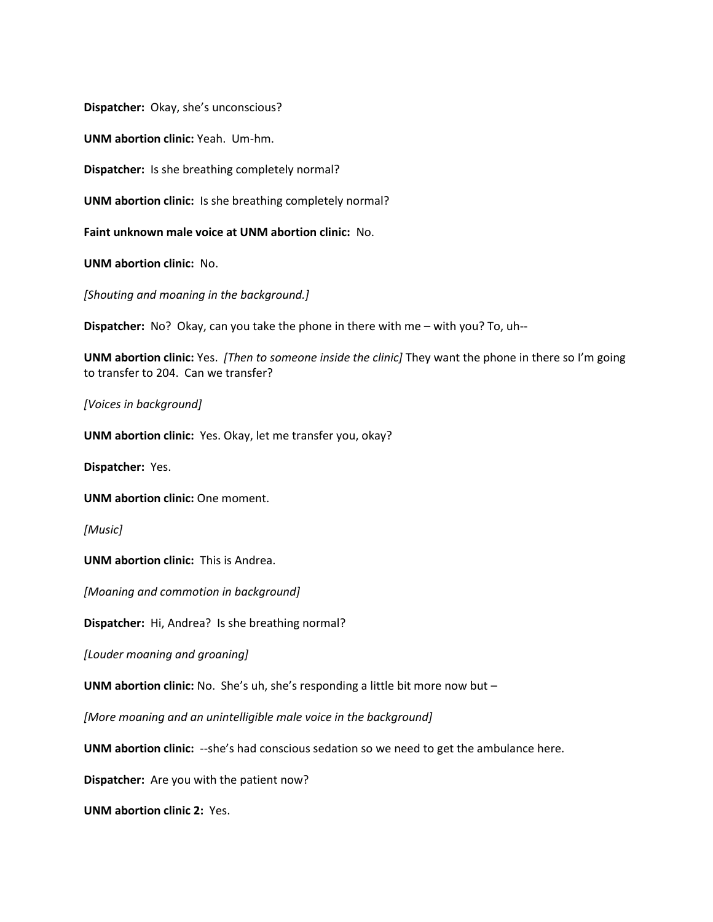**Dispatcher:** Okay, she's unconscious?

**UNM abortion clinic:** Yeah. Um-hm.

**Dispatcher:** Is she breathing completely normal?

**UNM abortion clinic:** Is she breathing completely normal?

**Faint unknown male voice at UNM abortion clinic:** No.

**UNM abortion clinic:** No.

*[Shouting and moaning in the background.]*

**Dispatcher:** No? Okay, can you take the phone in there with me – with you? To, uh--

**UNM abortion clinic:** Yes. *[Then to someone inside the clinic]* They want the phone in there so I'm going to transfer to 204. Can we transfer?

*[Voices in background]*

**UNM abortion clinic:** Yes. Okay, let me transfer you, okay?

**Dispatcher:** Yes.

**UNM abortion clinic:** One moment.

*[Music]*

**UNM abortion clinic:** This is Andrea.

*[Moaning and commotion in background]*

**Dispatcher:** Hi, Andrea? Is she breathing normal?

*[Louder moaning and groaning]*

**UNM abortion clinic:** No. She's uh, she's responding a little bit more now but –

*[More moaning and an unintelligible male voice in the background]*

**UNM abortion clinic:** --she's had conscious sedation so we need to get the ambulance here.

**Dispatcher:** Are you with the patient now?

**UNM abortion clinic 2:** Yes.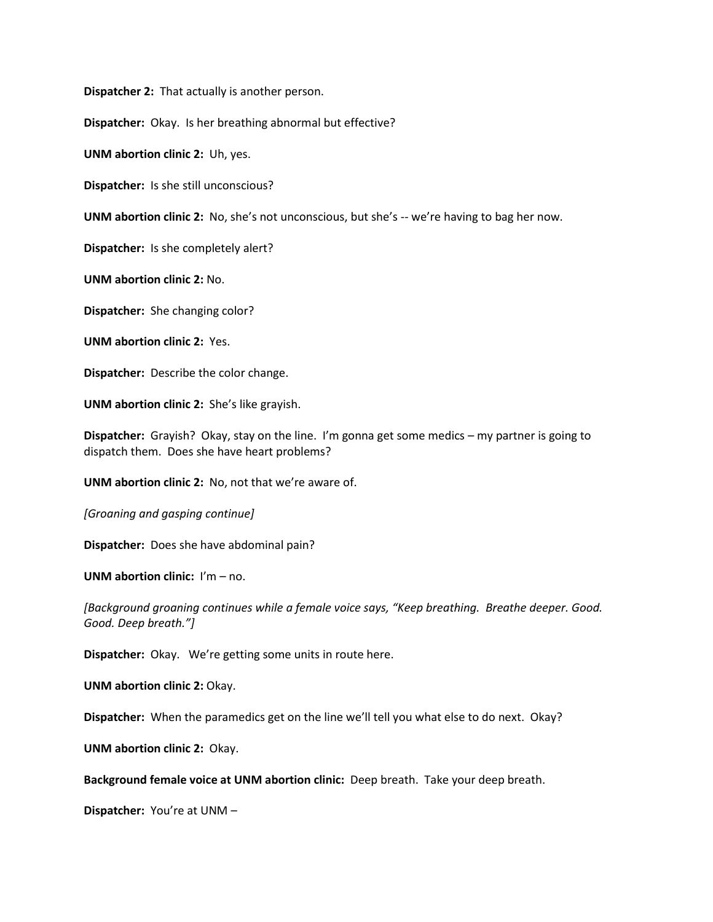**Dispatcher 2:** That actually is another person.

**Dispatcher:** Okay. Is her breathing abnormal but effective?

**UNM abortion clinic 2:** Uh, yes.

**Dispatcher:** Is she still unconscious?

**UNM abortion clinic 2:** No, she's not unconscious, but she's -- we're having to bag her now.

**Dispatcher:** Is she completely alert?

**UNM abortion clinic 2:** No.

**Dispatcher:** She changing color?

**UNM abortion clinic 2:** Yes.

**Dispatcher:** Describe the color change.

**UNM abortion clinic 2:** She's like grayish.

**Dispatcher:** Grayish? Okay, stay on the line. I'm gonna get some medics – my partner is going to dispatch them. Does she have heart problems?

**UNM abortion clinic 2:** No, not that we're aware of.

*[Groaning and gasping continue]*

**Dispatcher:** Does she have abdominal pain?

**UNM abortion clinic:** I'm – no.

*[Background groaning continues while a female voice says, "Keep breathing. Breathe deeper. Good. Good. Deep breath."]*

**Dispatcher:** Okay. We're getting some units in route here.

**UNM abortion clinic 2:** Okay.

**Dispatcher:** When the paramedics get on the line we'll tell you what else to do next. Okay?

**UNM abortion clinic 2:** Okay.

**Background female voice at UNM abortion clinic:** Deep breath. Take your deep breath.

**Dispatcher:** You're at UNM –